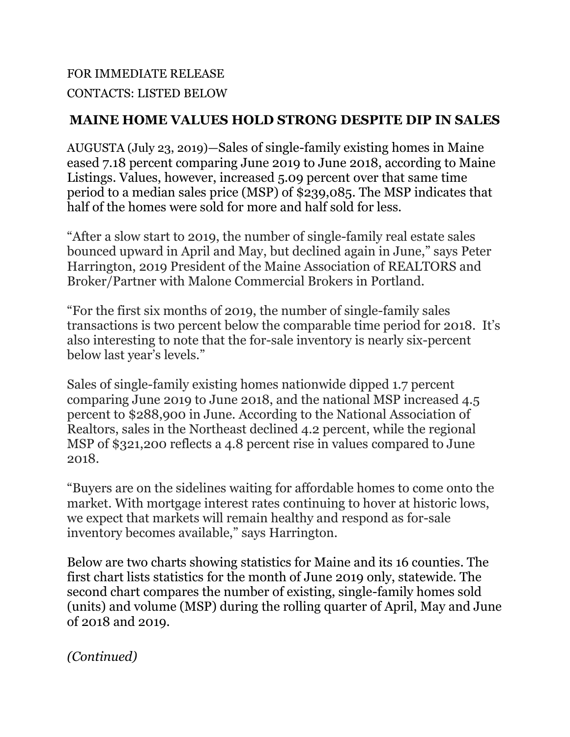# FOR IMMEDIATE RELEASE CONTACTS: LISTED BELOW

# **MAINE HOME VALUES HOLD STRONG DESPITE DIP IN SALES**

AUGUSTA (July 23, 2019)—Sales of single-family existing homes in Maine eased 7.18 percent comparing June 2019 to June 2018, according to Maine Listings. Values, however, increased 5.09 percent over that same time period to a median sales price (MSP) of \$239,085. The MSP indicates that half of the homes were sold for more and half sold for less.

"After a slow start to 2019, the number of single-family real estate sales bounced upward in April and May, but declined again in June," says Peter Harrington, 2019 President of the Maine Association of REALTORS and Broker/Partner with Malone Commercial Brokers in Portland.

"For the first six months of 2019, the number of single-family sales transactions is two percent below the comparable time period for 2018. It's also interesting to note that the for-sale inventory is nearly six-percent below last year's levels."

Sales of single-family existing homes nationwide dipped 1.7 percent comparing June 2019 to June 2018, and the national MSP increased 4.5 percent to \$288,900 in June. According to the National Association of Realtors, sales in the Northeast declined 4.2 percent, while the regional MSP of \$321,200 reflects a 4.8 percent rise in values compared to June 2018.

"Buyers are on the sidelines waiting for affordable homes to come onto the market. With mortgage interest rates continuing to hover at historic lows, we expect that markets will remain healthy and respond as for-sale inventory becomes available," says Harrington.

Below are two charts showing statistics for Maine and its 16 counties. The first chart lists statistics for the month of June 2019 only, statewide. The second chart compares the number of existing, single-family homes sold (units) and volume (MSP) during the rolling quarter of April, May and June of 2018 and 2019.

*(Continued)*